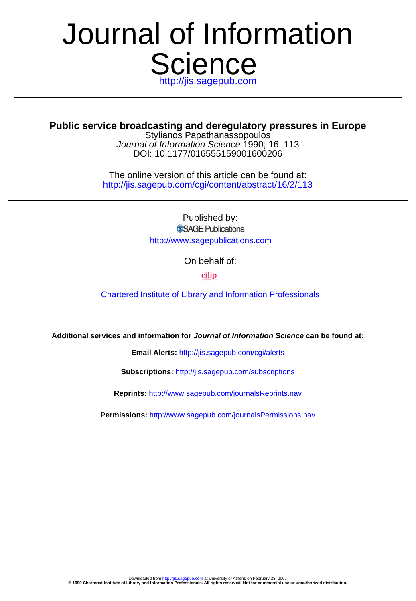# **Science** http://jis.sagepub.com Journal of Information

**Public service broadcasting and deregulatory pressures in Europe**

DOI: 10.1177/016555159001600206 Journal of Information Science 1990; 16; 113 Stylianos Papathanassopoulos

http://jis.sagepub.com/cgi/content/abstract/16/2/113 The online version of this article can be found at:

> Published by: SSAGE Publications http://www.sagepublications.com

> > On behalf of:

cilip

[Chartered Institute of Library and Information Professionals](http://www.cilip.org.uk/)

**Additional services and information for Journal of Information Science can be found at:**

**Email Alerts:** <http://jis.sagepub.com/cgi/alerts>

**Subscriptions:** <http://jis.sagepub.com/subscriptions>

**Reprints:** <http://www.sagepub.com/journalsReprints.nav>

**Permissions:** <http://www.sagepub.com/journalsPermissions.nav>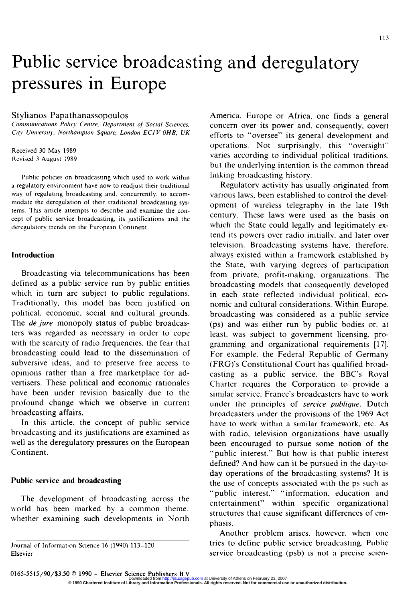# Public service broadcasting and deregulatory pressures in Europe

## Stylianos Papathanassopoulos

Communications Policy Centre, Department of Social Sciences. City University, Northampton Square, London ECIV OHB, UK

Received 30 May 1989 Revised 3 August 1989

Public policies on broadcasting which used to work within a regulatory environment have now to readjust their traditional way of regulating broadcasting and, concurrently. to accommodate the deregulation of their traditional broadcasting systems. This article attempts to describe and examine the concept of public service broadcasting, its Justifications and the deregulatory trends on the European Continent.

#### Introduction

Broadcasting via telecommunications has been defined as a public service run by public entities which in turn are subject to public regulations. Traditionally, this model has been justified on political, economic, social and cultural grounds. The *de jure* monopoly status of public broadcasters was regarded as necessary in order to cope with the scarcity of radio frequencies, the fear that broadcasting could lead to the dissemination of subversive ideas, and to preserve free access to opinions rather than a free marketplace for advertisers. These political and economic rationales have been under revision basically due to the profound change which we observe in current broadcasting affairs.

In this article, the concept of public service broadcasting and its justifications are examined as well as the deregulatory pressures on the European Continent.

#### Public service and broadcasting

The development of broadcasting across the world has been marked by a common theme: whether examining such developments in North

America, Europe or Africa, one finds a general concern over its power and, consequently, covert efforts to "oversee" its general development and operations. Not surprisingly, this "oversight" varies according to individual political traditions, but the underlying intention is the common thread linking broadcasting history.

Regulatory activity has usually originated from various laws, been established to control the development of wireless telegraphy in the late 19th century. These laws were used as the basis on which the State could legally and legitimately extend its powers over radio initially. and later over television. Broadcasting systems have, therefore, always existed within a framework established by the State, with varying degrees of participation from private, profit-making, organizations. The broadcasting models that consequently developed in each state reflected individual political, economic and cultural considerations. Within Europe, broadcasting was considered as a public service (ps) and was either run by public bodies or, at least, was subject to government licensing, programming and organizational requirements [17]. For example, the Federal Republic of Germany (FRG)'s Constitutional Court has qualified broadcasting as a public service, the BBC's Royal Charter requires the Corporation to provide a similar service, France's broadcasters have to work under the principles of service publique. Dutch broadcasters under the provisions of the 1969 Act have to work within a similar framework, etc. As with radio, television organizations have usually been encouraged to pursue some notion of the "public interest." But how is that public interest defined? And how can it be pursued in the day-today operations of the broadcasting systems? It is the use of concepts associated with the ps such as "public interest," "information, education and entertainment" within specific organizational structures that cause significant differences of emphasis.

Another problem arises, however, when one tries to define public service broadcasting. Public service broadcasting (psb) is not a precise scien-

0165-5515/90/\$3.50 © 1990 - Elsevier Science Publishers B.V.

Journal of Information Science 16 (1990) 113-120 Elsevier

Downloaded from<http://jis.sagepub.com>at University of Athens on February 23, 2007<br>© 1990 Chartered Institute of Library and Information Professionals. All rights reserved. Not for commercial use or unauthorized distribut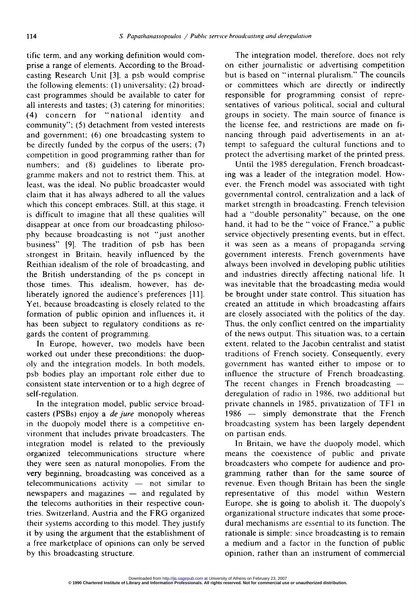tific term. and any working definition would comprise a range of elements. According to the Broadcasting Research Unit [3], a psb would comprise the following elements: (1) universality; (2) broadcast programmes should be available to cater for all interests and tastes; (3) catering for minorities;  $(4)$  concern for "national identity and community"; (5) detachment from vested interests and government; (6) one broadcasting system to be directly funded by the corpus of the users; (7) competition in good programming rather than for numbers; and (8) guidelines to liberate programme makers and not to restrict them. This, at least, was the ideal. No public broadcaster would claim that it has always adhered to all the values which this concept embraces. Still, at this stage, it is difficult to imagine that all these qualities will disappear at once from our broadcasting philosophy because broadcasting is not "just another business" [9]. The tradition of psb has been strongest in Britain, heavily influenced by the Reithian idealism of the role of broadcasting, and the British understanding of the ps concept in those times. This idealism, however, has deliberately ignored the audience's preferences [11]. Yet, because broadcasting is closely related to the formation of public opinion and influences it, it has been subject to regulatory conditions as regards the content of programming.

In Europe, however, two models have been worked out under these preconditions: the duopoly and the integration models. In both models, psb bodies play an important role either due to consistent state intervention or to a high degree of self-regulation.

In the integration model, public service broadcasters (PSBs) enjoy a de jure monopoly whereas in the duopoly model there is a competitive environment that includes private broadcasters. The integration model is related to the previously organized telecommunications structure where they were seen as natural monopolies. From the very beginning, broadcasting was conceived as a  $telecommunications activity - not similar to$ newspapers and magazines  $-$  and regulated by the telecoms authorities in their respective countries. Switzerland, Austria and the FRG organized their systems according to this model. They justify it by using the argument that the establishment of a free marketplace of opinions can only be served by this broadcasting structure.

The integration model, therefore, does not rely on either journalistic or advertising competition but is based on "internal pluralism." The councils or committees which are directly or indirectly responsible for programming consist of representatives of various political, social and cultural groups in society. The main source of finance is the license fee, and restrictions are made on financing through paid advertisements in an attempt to safeguard the cultural functions and to protect the advertising market of the printed press.

Until the 1985 deregulation, French broadcasting was a leader of the integration model. However, the French model was associated with tight governmental control, centralization and a lack of market strength in broadcasting. French television had a "double personality" because, on the one hand, it had to be the "voice of France," a public service objectively presenting events, but in effect, it was seen as a means of propaganda serving government interests. French governments have always been involved in developing public utilities and industries directly affecting national life. It was inevitable that the broadcasting media would be brought under state control. This situation has created an attitude in which broadcasting affairs are closely associated with the politics of the day. Thus, the only conflict centred on the impartiality of the news output. This situation was, to a certain extent, related to the Jacobin centralist and statist traditions of French society. Consequently, every government has wanted either to impose or to influence the structure of French broadcasting. The recent changes in French broadcasting  $$ deregulation of radio in 1986, two additional but private channels in 1985, privatization of TF1 in 1986 - simply demonstrate that the French broadcasting system has been largely dependent on partisan ends.

In Britain, we have the duopoly model, which means the coexistence of public and private broadcasters who compete for audience and programming rather than for the same source of revenue. Even though Britain has been the single representative of this model within Western Europe, she is going to abolish it. The duopoly's organizational structure indicates that some procedural mechanisms are essential to its function. The rationale is simple: since broadcasting is to remain a medium and a factor in the function of public opinion, rather than an instrument of commercial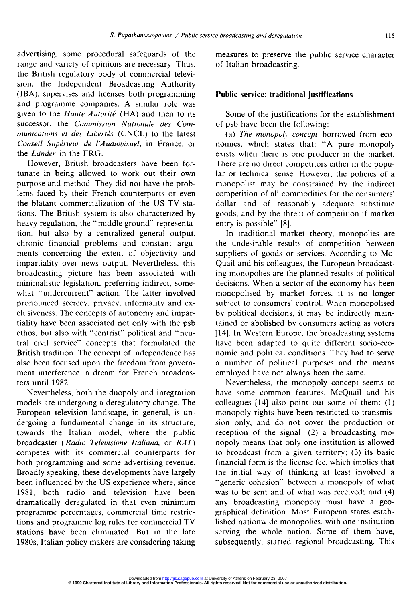advertising, some procedural safeguards of the range and variety of opinions are necessary. Thus, the British regulatory body of commercial television, the Independent Broadcasting Authority (IBA), supervises and licenses both programming and programme companies. A similar role was given to the *Haute Autorité* (HA) and then to its successor, the Commission Nationale des Communications et des Libertés (CNCL) to the latest Conseil Supérieur de l'Audiovisuel, in France, or the Länder in the FRG.

However, British broadcasters have been fortunate in being allowed to work out their own purpose and method. They did not have the problems faced by their French counterparts or even the blatant commercialization of the US TV stations. The British system is also characterized by heavy regulation, the "middle ground" representation, but also by a centralized general output, chronic financial problems and constant arguments concerning the extent of objectivity and impartiality over news output. Nevertheless, this broadcasting picture has been associated with minimalistic legislation, preferring indirect, somewhat "undercurrent" action. The latter involved pronounced secrecy, privacy, informality and exclusiveness. The concepts of autonomy and impartiality have been associated not only with the psb ethos, but also with "centrist" political and "neutral civil service" concepts that formulated the British tradition. The concept of independence has also been focused upon the freedom from government interference, a dream for French broadcasters until 1982.

Nevertheless, both the duopoly and integration models are undergoing a deregulatory change. The European television landscape, in general, is undergoing a fundamental change in its structure, towards the Italian model, where the public broadcaster ( Radio Televisione Italiana, or RAI ) competes with its commercial counterparts for both programming and some advertising revenue. Broadly speaking, these developments have largely been influenced by the US experience where, since 1981, both radio and television have been dramatically deregulated in that even minimum programme percentages, commercial time restrictions and programme log rules for commercial TV stations have been eliminated. But in the late 1980s, Italian policy makers are considering taking measures to preserve the public service character of Italian broadcasting.

#### Public service: traditional justifications

Some of the justifications for the establishment of psb have been the following:

(a) The monopoly concept borrowed from economics, which states that: "A pure monopoly exists when there is one producer in the market. There are no direct competitors either in the popular or technical sense. However, the policies of a monopolist may be constrained by the indirect competition of all commodities for the consumers' dollar and of reasonably adequate substitute goods, and by the threat of competition if market entry is possible" [8].

In traditional market theory, monopolies are the undesirable results of competition between suppliers of goods or services. According to Mc-Quail and his colleagues, the European broadcasting monopolies are the planned results of political decisions. When a sector of the economy has been monopolised by market forces, it is no longer subject to consumers' control. When monopolised by political decisions, it may be indirectly maintained or abolished by consumers acting as voters [14]. In Western Europe, the broadcasting systems have been adapted to quite different socio-economic and political conditions. They had to serve a number of political purposes and the means employed have not always been the same.

Nevertheless, the monopoly concept seems to have some common features. McQuail and his colleagues [14] also point out some of them: (1) monopoly rights have been restricted to transmission only, and do not cover the production or reception of the signal; (2) a broadcasting monopoly means that only one institution is allowed to broadcast from a given territory; (3) its basic financial form is the license fee, which implies that the initial way of thinking at least involved a "generic cohesion" between a monopoly of what was to be sent and of what was received; and (4) any broadcasting monopoly must have a geographical definition. Most European states established nationwide monopolies, with one institution serving the whole nation. Some of them have, subsequently, started regional broadcasting. This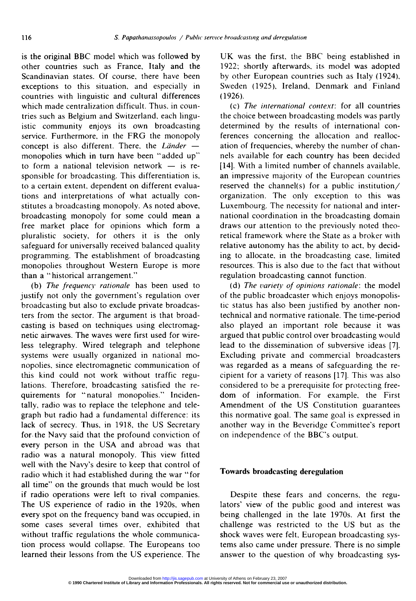is the original BBC model which was followed by other countries such as France, Italy and the Scandinavian states. Of course, there have been exceptions to this situation, and especially in countries with linguistic and cultural differences which made centralization difficult. Thus, in countries such as Belgium and Switzerland, each linguistic community enjoys its own broadcasting service. Furthermore, in the FRG the monopoly concept is also different. There, the Länder  $$ monopolies which in turn have been "added up" to form a national television network  $-$  is responsible for broadcasting. This differentiation is, to a certain extent, dependent on different evaluations and interpretations of what actually constitutes a broadcasting monopoly. As noted above, broadcasting monopoly for some could mean a free market place for opinions which form a pluralistic society, for others it is the only safeguard for universally received balanced quality programming. The establishment of broadcasting monopolies throughout Western Europe is more than a "historical arrangement."

(b) The frequency rationale has been used to justify not only the government's regulation over broadcasting but also to exclude private broadcasters from the sector. The argument is that broadcasting is based on techniques using electromagnetic airwaves. The waves were first used for wireless telegraphy. Wired telegraph and telephone systems were usually organized in national monopolies, since electromagnetic communication of this kind could not work without traffic regulations. Therefore, broadcasting satisfied the requirements for "natural monopolies." Incidentally, radio was to replace the telephone and telegraph but radio had a fundamental difference: its lack of secrecy. Thus, in 1918, the US Secretary for-the Navy said that the profound conviction of every person in the USA and abroad was that radio was a natural monopoly. This view fitted well with the Navy's desire to keep that control of radio which it had established during the war "for all time" on the grounds that much would be lost if radio operations were left to rival companies. The US experience of radio in the 1920s, when every spot on the frequency band was occupied, in some cases several times over, exhibited that without traffic regulations the whole communication process would collapse. The Europeans too learned their lessons from the US experience. The

UK was the first, the BBC being established in 1922; shortly afterwards, its model was adopted by other European countries such as Italy (1924), Sweden (1925), Ireland, Denmark and Finland (1926).

(c) The international context: for all countries the choice between broadcasting models was partly determined by the results of international conferences concerning the allocation and reallocation of frequencies, whereby the number of channels available for each country has been decided [14]. With a limited number of channels available, an impressive majority of the European countries reserved the channel(s) for a public institution/ organization. The only exception to this was Luxembourg. The necessity for national and international coordination in the broadcasting domain draws our attention to the previously noted theoretical framework where the State as a broker with relative autonomy has the ability to act, by deciding to allocate, in the broadcasting case, limited resources. This is also due to the fact that without regulation broadcasting cannot function.

(d) The variety of opinions rationale: the model of the public broadcaster which enjoys monopolistic status has also been justified by another nontechnical and normative rationale. The time-period also played an important role because it was argued that public control over broadcasting would lead to the dissemination of subversive ideas [7]. Excluding private and commercial broadcasters was regarded as a means of safeguarding the recipient for a variety of reasons [17]. This was also considered to be a prerequisite for protecting freedom of information. For example, the First Amendment of the US Constitution guarantees this normative goal. The same goal is expressed in another way in the Beveridge Committee's report on independence of the BBC's output.

#### Towards broadcasting deregulation

Despite these fears and concerns, the regulators' view of the public good and interest was being challenged in the late 1970s. At first the challenge was restricted to the US but as the shock waves were felt, European broadcasting systems also came under pressure. There is no simple answer to the question of why broadcasting sys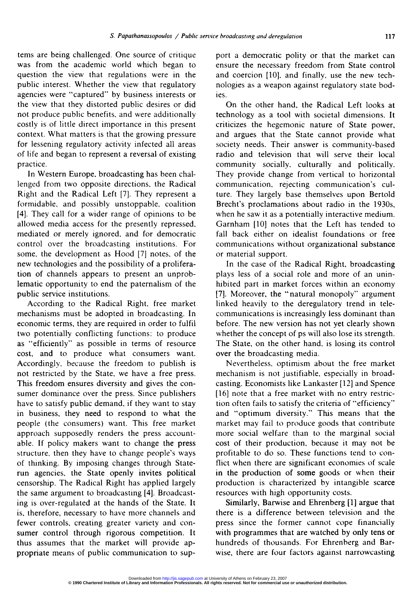tems are being challenged. One source of critique was from the academic world which began to question the view that regulations were in the public interest. Whether the view that regulatory agencies were "captured" by business interests or the view that they distorted public desires or did not produce public benefits, and were additionally costly is of little direct importance in this present context. What matters is that the growing pressure for lessening regulatory activity infected all areas of life and began to represent a reversal of existing practice.

In Western Europe, broadcasting has been challenged from two opposite directions, the Radical Right and the Radical Left [7]. They represent a formidable, and possibly unstoppable, coalition [4]. They call for a wider range of opinions to be allowed media access for the presently repressed, mediated or merely ignored, and for democratic control over the broadcasting institutions. For some, the development as Hood [7] notes, of the new technologies and the possibility of a proliferation of channels appears to present an unproblematic opportunity to end the paternalism of the public service institutions.

According to the Radical Right, free market mechanisms must be adopted in broadcasting. In economic terms, they are required in order to fulfil two potentially conflicting functions: to produce as "efficiently" as possible in terms of resource cost, and to produce what consumers want. Accordingly, because the freedom to publish is not restricted by the State, we have a free press. This freedom ensures diversity and gives the consumer dominance over the press. Since publishers have to satisfy public demand, if they want to stay in business, they need to respond to what the people (the consumers) want. This free market approach supposedly renders the press accountable. If policy makers want to change the press structure, then they have to change people's ways of thinking. By imposing changes through Staterun agencies, the State openly invites political censorship. The Radical Right has applied largely the same argument to broadcasting [4]. Broadcasting is over-regulated at the hands of the State. It is, therefore, necessary to have more channels and fewer controls, creating greater variety and consumer control through rigorous competition. It thus assumes that the market will provide appropriate means of public communication to support a democratic polity or that the market can ensure the necessary freedom from State control and coercion [10], and finally, use the new technologies as a weapon against regulatory state bodies.

On the other hand, the Radical Left looks at technology as a tool with societal dimensions. It criticizes the hegemonic nature of State power, and argues that the State cannot provide what society needs. Their answer is community-based radio and television that will serve their local community socially, culturally and politically. They provide change from vertical to horizontal communication, rejecting communication's culture. They largely base themselves upon Bertold Brecht's proclamations about radio in the 1930s, when he saw it as a potentially interactive medium. Garnham [10] notes that the Left has tended to fall back either on idealist foundations or free communications without organizational substance or material support.

In the case of the Radical Right, broadcasting plays less of a social role and more of an uninhibited part in market forces within an economy [7]. Moreover, the "natural monopoly" argument linked heavily to the deregulatory trend in telecommunications is increasingly less dominant than before. The new version has not yet clearly shown whether the concept of ps will also lose its strength. The State, on the other hand. is losing its control over the broadcasting media.

Nevertheless, optimism about the free market mechanism is not justifiable, especially in broadcasting. Economists like Lankaster [12] and Spence [16] note that a free market with no entry restriction often fails to satisfy the criteria of "efficiency" and "optimum diversity." This means that the market may fail to produce goods that contribute more social welfare than to the marginal social cost of their production, because it may not be profitable to do so. These functions tend to conflict when there are significant economies of scale in the production of some goods or when their production is characterized by intangible scarce resources with high opportunity costs.

Similarly, Barwise and Ehrenberg [1] argue that there is a difference between television and the press since the former cannot cope financially with programmes that are watched by only tens or hundreds of thousands. For Ehrenberg and Barwise, there are four factors against narrowcasting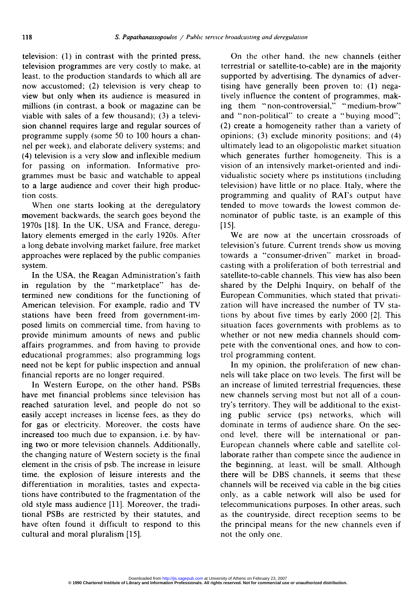television: (1) in contrast with the printed press, television programmes are very costly to make, at least, to the production standards to which all are now accustomed; (2) television is very cheap to view but only when its audience is measured in millions (in contrast, a book or magazine can be viable with sales of a few thousand); (3) a television channel requires large and regular sources of programme supply (some 50 to 100 hours a channel per week), and elaborate delivery systems; and (4) television is a very slow and inflexible medium for passing on information. Informative programmes must be basic and watchable to appeal to a large audience and cover their high production costs.

When one starts looking at the deregulatory movement backwards, the search goes beyond the 1970s [18]. In the UK, USA and France, deregulatory elements emerged in the early 1920s. After a long debate involving market failure, free market approaches were replaced by the public companies system.

In the USA, the Reagan Administration's faith in regulation by the "marketplace" has determined new conditions for the functioning of American television. For example, radio and TV stations have been freed from government-imposed limits on commercial time, from having to provide minimum amounts of news and public affairs programmes, and from having to provide educational programmes; also programming logs need not be kept for public inspection and annual financial reports are no longer required.

In Western Europe, on the other hand, PSBs have met financial problems since television has reached saturation level, and people do not so easily accept increases in license fees, as they do for gas or electricity. Moreover, the costs have increased too much due to expansion, i.e. by having two or more television channels. Additionally, the changing nature of Western society is the final element in the crisis of psb. The increase in leisure time, the explosion of leisure interests and the differentiation in moralities, tastes and expectations have contributed to the fragmentation of the old style mass audience [11]. Moreover, the traditional PSBs are restricted by their statutes, and have often found it difficult to respond to this cultural and moral pluralism [15].

On the other hand, the new channels (either terrestrial or satellite-to-cable) are in the majority supported by advertising. The dynamics of advertising have generally been proven to: (1) negatively influence the content of programmes, making them "non-controversial," "medium-brow" and "non-political" to create a "buying mood"; (2) create a homogeneity rather than a variety of opinions; (3) exclude minority positions; and (4) ultimately lead to an oligopolistic market situation which generates further homogeneity. This is a vision of an intensively market-oriented and individualistic society where ps institutions (including television) have little or no place. Italy, where the programming and quality of RAI's output have tended to move towards the lowest common denominator of public taste, is an example of this [15].

We are now at the uncertain crossroads of television's future. Current trends show us moving towards a "consumer-driven" market in broadcasting with a proliferation of both terrestrial and satellite-to-cable channels. This view has also been shared by the Delphi Inquiry, on behalf of the European Communities, which stated that privatization will have increased the number of TV stations by about five times by early 2000 [2]. This situation faces governments with problems as to whether or not new media channels should compete with the conventional ones, and how to control programming content.

In my opinion, the proliferation of new channels will take place on two levels. The first will be an increase of limited terrestrial frequencies, these new channels serving most but not all of a country's territory. They will be additional to the existing public service (ps) networks, which will dominate in terms of audience share. On the second level, there will be international or pan-European channels where cable and satellite collaborate rather than compete since the audience in the beginning, at least, will be small. Although there will be DBS channels, it seems that these channels will be received via cable in the big cities only, as a cable network will also be used for telecommunications purposes. In other areas, such as the countryside, direct reception seems to be the principal means for the new channels even if not the only one.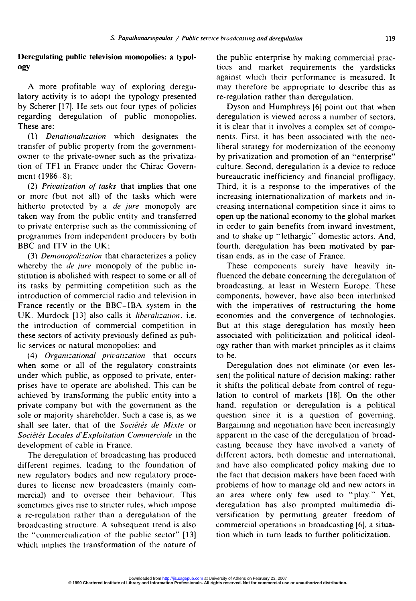# Deregulating public television monopolies: a typology

A more profitable way of exploring deregulatory activity is to adopt the typology presented by Scherer [17]. He sets out four types of policies regarding deregulation of public monopolies. These are:

(1) Denationalization which designates the transfer of public property from the governmentowner to the private-owner such as the privatization of TF1 in France under the Chirac Government (1986-8);

(2) Privatization of tasks that implies that one or more (but not all) of the tasks which were hitherto protected by a *de jure* monopoly are taken way from the public entity and transferred to private enterprise such as the commissioning of programmes from independent producers by both BBC and ITV in the UK;

 $(3)$  *Demonopolization* that characterizes a policy whereby the *de jure* monopoly of the public institution is abolished with respect to some or all of its tasks by permitting competition such as the introduction of commercial radio and television in France recently or the BBC-IBA system in the UK. Murdock [13] also calls it liberalization, i.e. the introduction of commercial competition in these sectors of activity previously defined as public services or natural monopolies; and

(4) Organizational privatization that occurs when some or all of the regulatory constraints under which public, as opposed to private, enterprises have to operate are abolished. This can be achieved by transforming the public entity into a private company but with the government as the sole or majority shareholder. Such a case is, as we shall see later, that of the Sociétés de Mixte or Sociétés Locales d'Exploitation Commerciale in the development of cable in France.

The deregulation of broadcasting has produced different regimes, leading to the foundation of new regulatory bodies and new regulatory procedures to license new broadcasters (mainly commercial) and to oversee their behaviour. This sometimes gives rise to stricter rules, which impose a re-regulation rather than a deregulation of the broadcasting structure. A subsequent trend is also the "commercialization of the public sector"  $[13]$ which implies the transformation of the nature of the public enterprise by making commercial practices and market requirements the yardsticks against which their performance is measured. It may therefore be appropriate to describe this as re-regulation rather than deregulation.

Dyson and Humphreys [6] point out that when deregulation is viewed across a number of sectors, it is clear that it involves a complex set of components. First, it has been associated with the neoliberal strategy for modernization of the economy by privatization and promotion of an "enterprise" culture. Second, deregulation is a device to reduce bureaucratic inefficiency and financial profligacy. Third, it is a response to the imperatives of the increasing internationalization of markets and increasing international competition since it aims to open up the national economy to the global market in order to gain benefits from inward investment, and to shake up "lethargic" domestic actors. And, fourth, deregulation has been motivated by partisan ends, as in the case of France.

These components surely have heavily influenced the debate concerning the deregulation of broadcasting, at least in Western Europe. These components, however, have also been interlinked with the imperatives of restructuring the home economies and the convergence of technologies. But at this stage deregulation has mostly been associated with politicization and political ideology rather than with market principles as it claims to be.

Deregulation does not eliminate (or even lessen) the political nature of decision making; rather it shifts the political debate from control of regulation to control of markets [18]. On the other hand, regulation or deregulation is a political question since it is a question of governing. Bargaining and negotiation have been increasingly apparent in the case of the deregulation of broadcasting because they have involved a variety of different actors, both domestic and international, and have also complicated policy making due to the fact that decision makers have been faced with problems of how to manage old and new actors in an area where only few used to "play." Yet, deregulation has also prompted multimedia diversification by permitting greater freedom of commercial operations in broadcasting [6], a situation which in turn leads to further politicization.